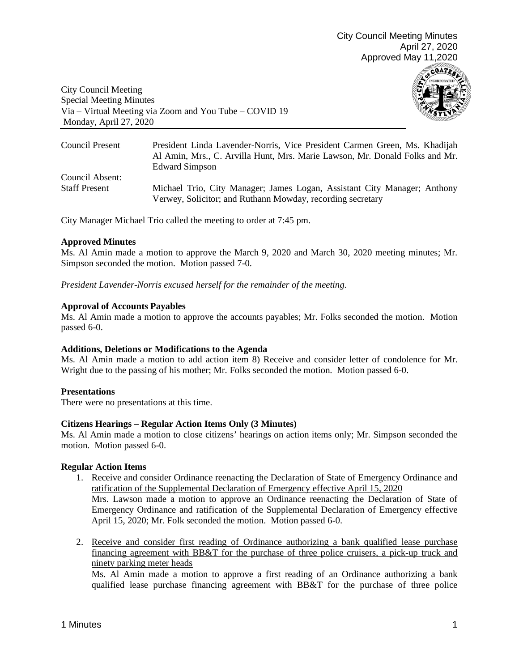

City Council Meeting Special Meeting Minutes Via – Virtual Meeting via Zoom and You Tube – COVID 19 Monday, April 27, 2020

| Council Present      | President Linda Lavender-Norris, Vice President Carmen Green, Ms. Khadijah<br>Al Amin, Mrs., C. Arvilla Hunt, Mrs. Marie Lawson, Mr. Donald Folks and Mr.<br><b>Edward Simpson</b> |
|----------------------|------------------------------------------------------------------------------------------------------------------------------------------------------------------------------------|
| Council Absent:      | Michael Trio, City Manager; James Logan, Assistant City Manager; Anthony                                                                                                           |
| <b>Staff Present</b> | Verwey, Solicitor; and Ruthann Mowday, recording secretary                                                                                                                         |

City Manager Michael Trio called the meeting to order at 7:45 pm.

### **Approved Minutes**

Ms. Al Amin made a motion to approve the March 9, 2020 and March 30, 2020 meeting minutes; Mr. Simpson seconded the motion. Motion passed 7-0.

*President Lavender-Norris excused herself for the remainder of the meeting.* 

### **Approval of Accounts Payables**

Ms. Al Amin made a motion to approve the accounts payables; Mr. Folks seconded the motion. Motion passed 6-0.

#### **Additions, Deletions or Modifications to the Agenda**

Ms. Al Amin made a motion to add action item 8) Receive and consider letter of condolence for Mr. Wright due to the passing of his mother; Mr. Folks seconded the motion. Motion passed 6-0.

## **Presentations**

There were no presentations at this time.

## **Citizens Hearings – Regular Action Items Only (3 Minutes)**

Ms. Al Amin made a motion to close citizens' hearings on action items only; Mr. Simpson seconded the motion. Motion passed 6-0.

## **Regular Action Items**

- 1. Receive and consider Ordinance reenacting the Declaration of State of Emergency Ordinance and ratification of the Supplemental Declaration of Emergency effective April 15, 2020 Mrs. Lawson made a motion to approve an Ordinance reenacting the Declaration of State of Emergency Ordinance and ratification of the Supplemental Declaration of Emergency effective April 15, 2020; Mr. Folk seconded the motion. Motion passed 6-0.
- 2. Receive and consider first reading of Ordinance authorizing a bank qualified lease purchase financing agreement with BB&T for the purchase of three police cruisers, a pick-up truck and ninety parking meter heads

Ms. Al Amin made a motion to approve a first reading of an Ordinance authorizing a bank qualified lease purchase financing agreement with BB&T for the purchase of three police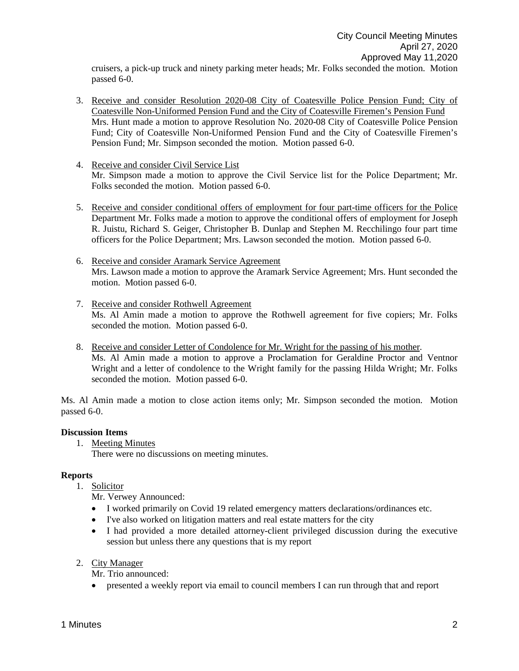cruisers, a pick-up truck and ninety parking meter heads; Mr. Folks seconded the motion. Motion passed 6-0.

- 3. Receive and consider Resolution 2020-08 City of Coatesville Police Pension Fund; City of Coatesville Non-Uniformed Pension Fund and the City of Coatesville Firemen's Pension Fund Mrs. Hunt made a motion to approve Resolution No. 2020-08 City of Coatesville Police Pension Fund; City of Coatesville Non-Uniformed Pension Fund and the City of Coatesville Firemen's Pension Fund; Mr. Simpson seconded the motion. Motion passed 6-0.
- 4. Receive and consider Civil Service List Mr. Simpson made a motion to approve the Civil Service list for the Police Department; Mr. Folks seconded the motion. Motion passed 6-0.
- 5. Receive and consider conditional offers of employment for four part-time officers for the Police Department Mr. Folks made a motion to approve the conditional offers of employment for Joseph R. Juistu, Richard S. Geiger, Christopher B. Dunlap and Stephen M. Recchilingo four part time officers for the Police Department; Mrs. Lawson seconded the motion. Motion passed 6-0.
- 6. Receive and consider Aramark Service Agreement Mrs. Lawson made a motion to approve the Aramark Service Agreement; Mrs. Hunt seconded the motion. Motion passed 6-0.
- 7. Receive and consider Rothwell Agreement Ms. Al Amin made a motion to approve the Rothwell agreement for five copiers; Mr. Folks seconded the motion. Motion passed 6-0.
- 8. Receive and consider Letter of Condolence for Mr. Wright for the passing of his mother. Ms. Al Amin made a motion to approve a Proclamation for Geraldine Proctor and Ventnor Wright and a letter of condolence to the Wright family for the passing Hilda Wright; Mr. Folks seconded the motion. Motion passed 6-0.

Ms. Al Amin made a motion to close action items only; Mr. Simpson seconded the motion. Motion passed 6-0.

# **Discussion Items**

- 1. Meeting Minutes
	- There were no discussions on meeting minutes.

# **Reports**

- 1. Solicitor
	- Mr. Verwey Announced:
	- I worked primarily on Covid 19 related emergency matters declarations/ordinances etc.
	- I've also worked on litigation matters and real estate matters for the city
	- I had provided a more detailed attorney-client privileged discussion during the executive session but unless there any questions that is my report
- 2. City Manager

Mr. Trio announced:

• presented a weekly report via email to council members I can run through that and report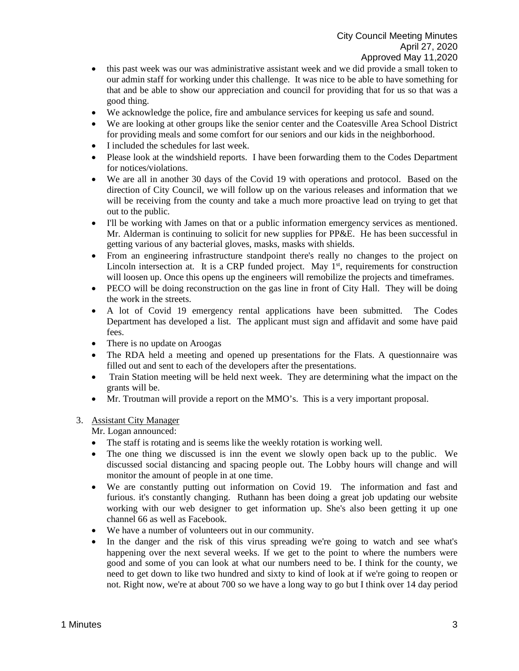- this past week was our was administrative assistant week and we did provide a small token to our admin staff for working under this challenge. It was nice to be able to have something for that and be able to show our appreciation and council for providing that for us so that was a good thing.
- We acknowledge the police, fire and ambulance services for keeping us safe and sound.
- We are looking at other groups like the senior center and the Coatesville Area School District for providing meals and some comfort for our seniors and our kids in the neighborhood.
- I included the schedules for last week.
- Please look at the windshield reports. I have been forwarding them to the Codes Department for notices/violations.
- We are all in another 30 days of the Covid 19 with operations and protocol. Based on the direction of City Council, we will follow up on the various releases and information that we will be receiving from the county and take a much more proactive lead on trying to get that out to the public.
- I'll be working with James on that or a public information emergency services as mentioned. Mr. Alderman is continuing to solicit for new supplies for PP&E. He has been successful in getting various of any bacterial gloves, masks, masks with shields.
- From an engineering infrastructure standpoint there's really no changes to the project on Lincoln intersection at. It is a CRP funded project. May  $1<sup>st</sup>$ , requirements for construction will loosen up. Once this opens up the engineers will remobilize the projects and timeframes.
- PECO will be doing reconstruction on the gas line in front of City Hall. They will be doing the work in the streets.
- A lot of Covid 19 emergency rental applications have been submitted. The Codes Department has developed a list. The applicant must sign and affidavit and some have paid fees.
- There is no update on Aroogas
- The RDA held a meeting and opened up presentations for the Flats. A questionnaire was filled out and sent to each of the developers after the presentations.
- Train Station meeting will be held next week. They are determining what the impact on the grants will be.
- Mr. Troutman will provide a report on the MMO's. This is a very important proposal.

## 3. Assistant City Manager

Mr. Logan announced:

- The staff is rotating and is seems like the weekly rotation is working well.
- The one thing we discussed is inn the event we slowly open back up to the public. We discussed social distancing and spacing people out. The Lobby hours will change and will monitor the amount of people in at one time.
- We are constantly putting out information on Covid 19. The information and fast and furious. it's constantly changing. Ruthann has been doing a great job updating our website working with our web designer to get information up. She's also been getting it up one channel 66 as well as Facebook.
- We have a number of volunteers out in our community.
- In the danger and the risk of this virus spreading we're going to watch and see what's happening over the next several weeks. If we get to the point to where the numbers were good and some of you can look at what our numbers need to be. I think for the county, we need to get down to like two hundred and sixty to kind of look at if we're going to reopen or not. Right now, we're at about 700 so we have a long way to go but I think over 14 day period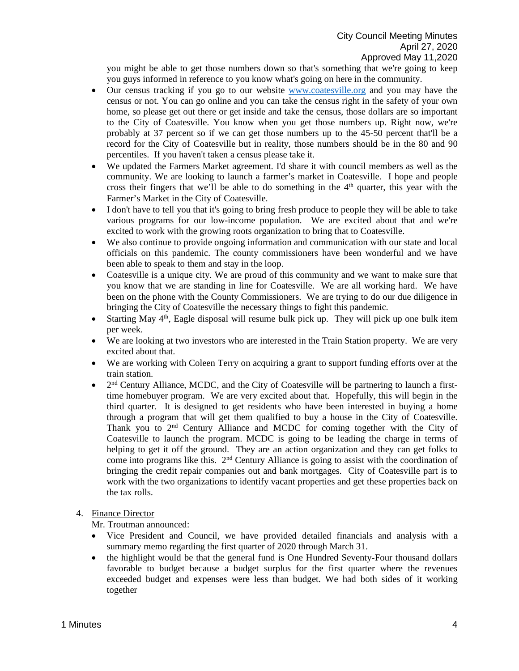you might be able to get those numbers down so that's something that we're going to keep you guys informed in reference to you know what's going on here in the community.

- Our census tracking if you go to our website [www.coatesville.org](http://www.coatesville.org/) and you may have the census or not. You can go online and you can take the census right in the safety of your own home, so please get out there or get inside and take the census, those dollars are so important to the City of Coatesville. You know when you get those numbers up. Right now, we're probably at 37 percent so if we can get those numbers up to the 45-50 percent that'll be a record for the City of Coatesville but in reality, those numbers should be in the 80 and 90 percentiles. If you haven't taken a census please take it.
- We updated the Farmers Market agreement. I'd share it with council members as well as the community. We are looking to launch a farmer's market in Coatesville. I hope and people cross their fingers that we'll be able to do something in the  $4<sup>th</sup>$  quarter, this year with the Farmer's Market in the City of Coatesville.
- I don't have to tell you that it's going to bring fresh produce to people they will be able to take various programs for our low-income population. We are excited about that and we're excited to work with the growing roots organization to bring that to Coatesville.
- We also continue to provide ongoing information and communication with our state and local officials on this pandemic. The county commissioners have been wonderful and we have been able to speak to them and stay in the loop.
- Coatesville is a unique city. We are proud of this community and we want to make sure that you know that we are standing in line for Coatesville. We are all working hard. We have been on the phone with the County Commissioners. We are trying to do our due diligence in bringing the City of Coatesville the necessary things to fight this pandemic.
- Starting May  $4<sup>th</sup>$ , Eagle disposal will resume bulk pick up. They will pick up one bulk item per week.
- We are looking at two investors who are interested in the Train Station property. We are very excited about that.
- We are working with Coleen Terry on acquiring a grant to support funding efforts over at the train station.
- $2<sup>nd</sup>$  Century Alliance, MCDC, and the City of Coatesville will be partnering to launch a firsttime homebuyer program. We are very excited about that. Hopefully, this will begin in the third quarter. It is designed to get residents who have been interested in buying a home through a program that will get them qualified to buy a house in the City of Coatesville. Thank you to  $2<sup>nd</sup>$  Century Alliance and MCDC for coming together with the City of Coatesville to launch the program. MCDC is going to be leading the charge in terms of helping to get it off the ground. They are an action organization and they can get folks to come into programs like this.  $2<sup>nd</sup>$  Century Alliance is going to assist with the coordination of bringing the credit repair companies out and bank mortgages. City of Coatesville part is to work with the two organizations to identify vacant properties and get these properties back on the tax rolls.
- 4. Finance Director

Mr. Troutman announced:

- Vice President and Council, we have provided detailed financials and analysis with a summary memo regarding the first quarter of 2020 through March 31.
- the highlight would be that the general fund is One Hundred Seventy-Four thousand dollars favorable to budget because a budget surplus for the first quarter where the revenues exceeded budget and expenses were less than budget. We had both sides of it working together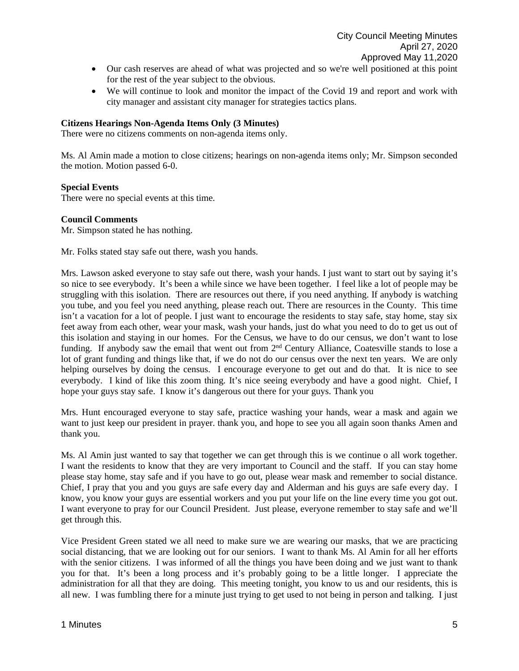- Our cash reserves are ahead of what was projected and so we're well positioned at this point for the rest of the year subject to the obvious.
- We will continue to look and monitor the impact of the Covid 19 and report and work with city manager and assistant city manager for strategies tactics plans.

# **Citizens Hearings Non-Agenda Items Only (3 Minutes)**

There were no citizens comments on non-agenda items only.

Ms. Al Amin made a motion to close citizens; hearings on non-agenda items only; Mr. Simpson seconded the motion. Motion passed 6-0.

### **Special Events**

There were no special events at this time.

### **Council Comments**

Mr. Simpson stated he has nothing.

Mr. Folks stated stay safe out there, wash you hands.

Mrs. Lawson asked everyone to stay safe out there, wash your hands. I just want to start out by saying it's so nice to see everybody. It's been a while since we have been together. I feel like a lot of people may be struggling with this isolation. There are resources out there, if you need anything. If anybody is watching you tube, and you feel you need anything, please reach out. There are resources in the County. This time isn't a vacation for a lot of people. I just want to encourage the residents to stay safe, stay home, stay six feet away from each other, wear your mask, wash your hands, just do what you need to do to get us out of this isolation and staying in our homes. For the Census, we have to do our census, we don't want to lose funding. If anybody saw the email that went out from 2<sup>nd</sup> Century Alliance, Coatesville stands to lose a lot of grant funding and things like that, if we do not do our census over the next ten years. We are only helping ourselves by doing the census. I encourage everyone to get out and do that. It is nice to see everybody. I kind of like this zoom thing. It's nice seeing everybody and have a good night. Chief, I hope your guys stay safe. I know it's dangerous out there for your guys. Thank you

Mrs. Hunt encouraged everyone to stay safe, practice washing your hands, wear a mask and again we want to just keep our president in prayer. thank you, and hope to see you all again soon thanks Amen and thank you.

Ms. Al Amin just wanted to say that together we can get through this is we continue o all work together. I want the residents to know that they are very important to Council and the staff. If you can stay home please stay home, stay safe and if you have to go out, please wear mask and remember to social distance. Chief, I pray that you and you guys are safe every day and Alderman and his guys are safe every day. I know, you know your guys are essential workers and you put your life on the line every time you got out. I want everyone to pray for our Council President. Just please, everyone remember to stay safe and we'll get through this.

Vice President Green stated we all need to make sure we are wearing our masks, that we are practicing social distancing, that we are looking out for our seniors. I want to thank Ms. Al Amin for all her efforts with the senior citizens. I was informed of all the things you have been doing and we just want to thank you for that. It's been a long process and it's probably going to be a little longer. I appreciate the administration for all that they are doing. This meeting tonight, you know to us and our residents, this is all new. I was fumbling there for a minute just trying to get used to not being in person and talking. I just